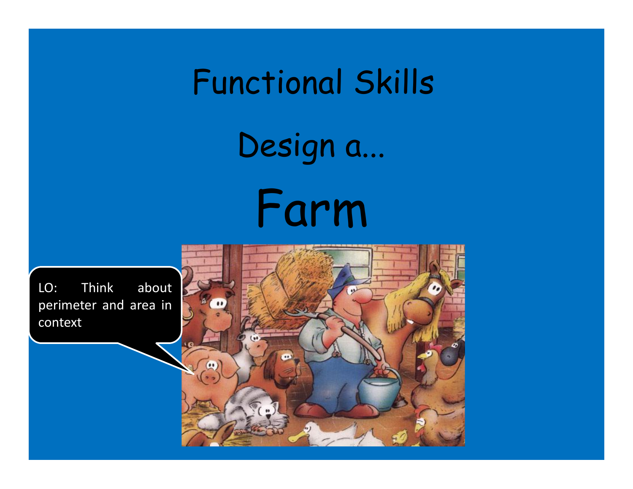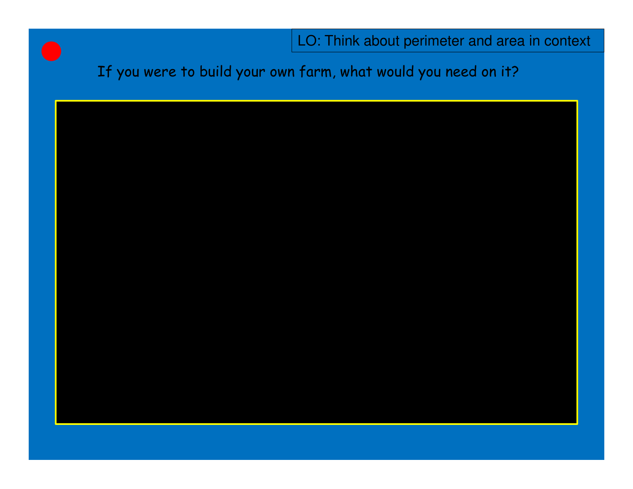If you were to build your own farm, what would you need on it?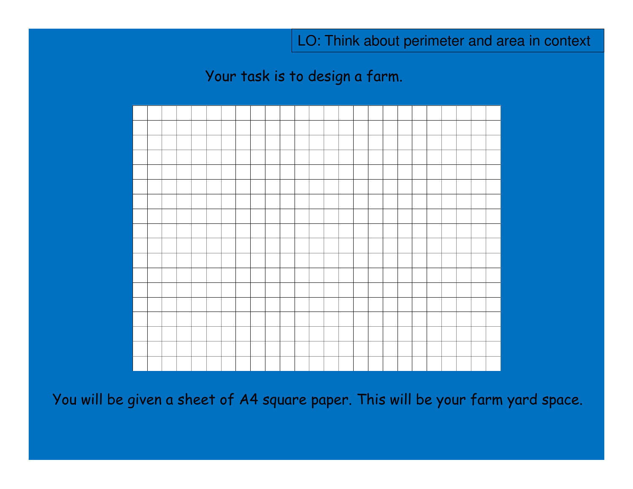Your task is to design a farm.



You will be given a sheet of A4 square paper. This will be your farm yard space.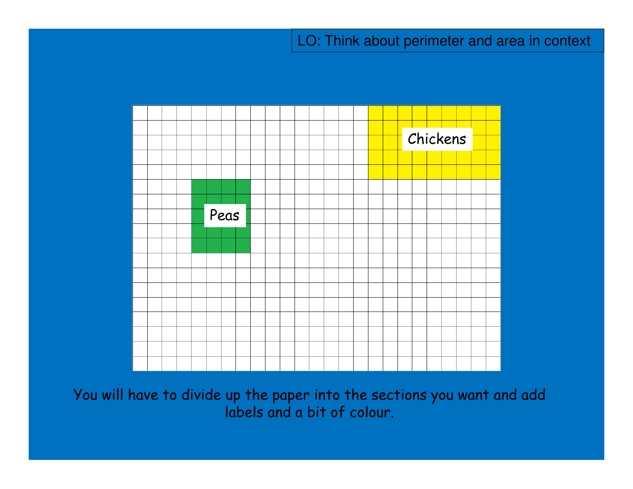

You will have to divide up the paper into the sections you want and add labels and a bit of colour.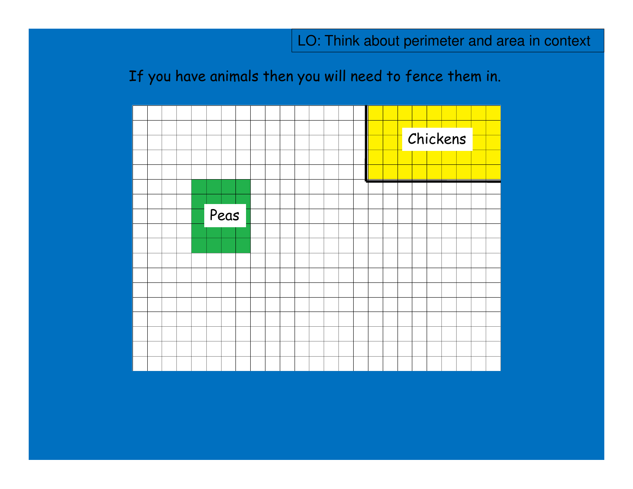# If you have animals then you will need to fence them in.

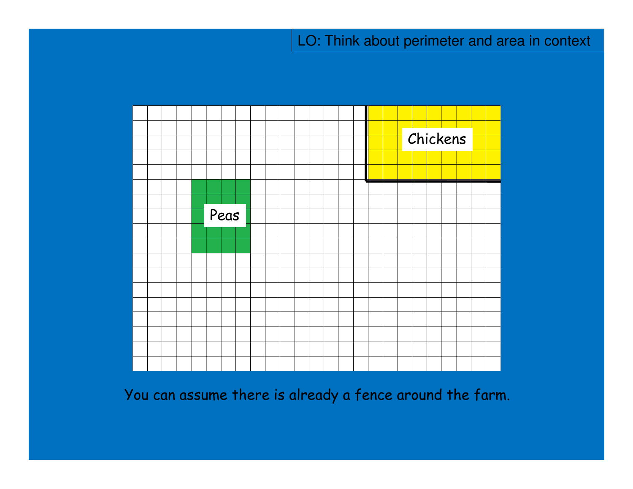

You can assume there is already a fence around the farm.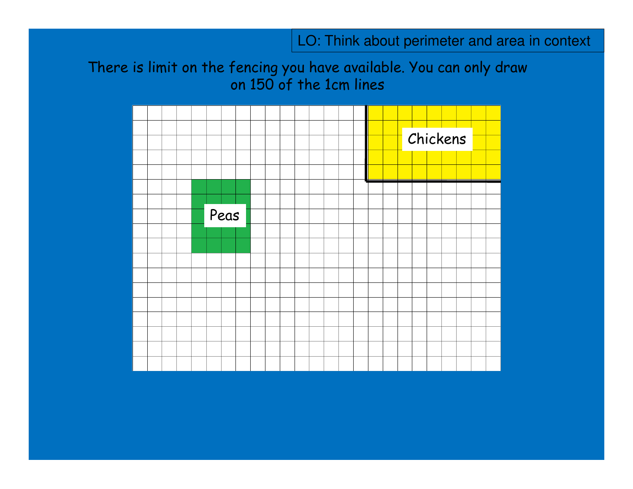There is limit on the fencing you have available. You can only draw on 150 of the 1cm lines

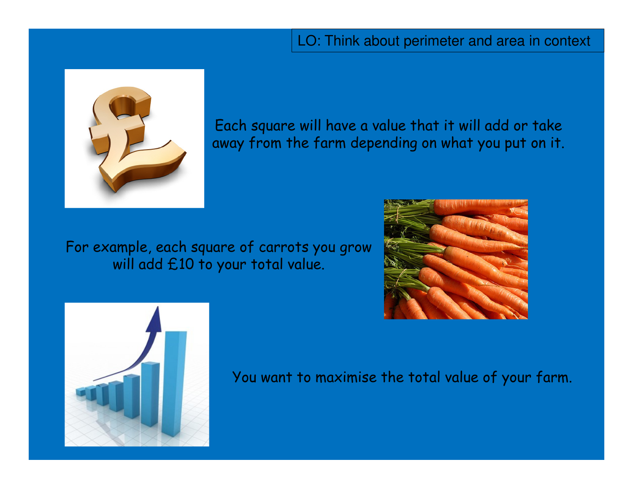

Each square will have a value that it will add or takeaway from the farm depending on what you put on it.

For example, each square of carrots you grow will add £10 to your total value.





You want to maximise the total value of your farm.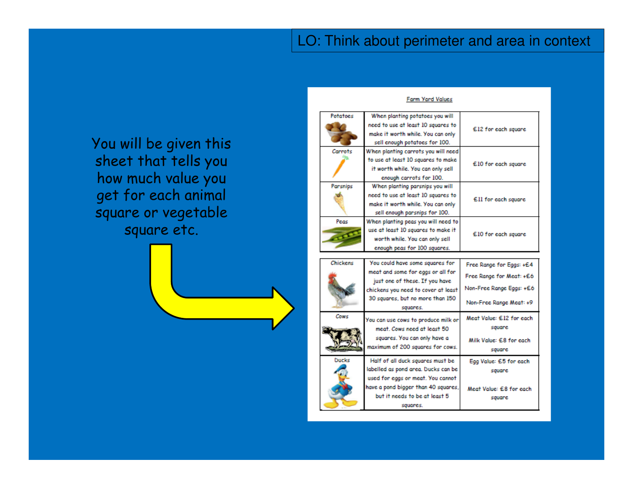You will be given this sheet that tells you how much value you get for each animal square or vegetable square etc.



#### Potatoes When planting potatoes you will need to use at least 10 squares to £12 for each square make it worth while. You can only sell enough potatoes for 100. Carrots When planting carrots you will need to use at least 10 squares to make £10 for each square it worth while. You can only sell enough carrots for 100. Parsnips When planting parsnips you will need to use at least 10 squares to £11 for each square make it worth while. You can only sell enough parsnips for 100. Peas When planting peas you will need to use at least 10 squares to make it £10 for each square worth while. You can only sell enough peas for 100 squares. Chickens You could have some squares for Free Range for Eggs: +£4 meat and some for eggs or all for Free Range for Meat: +£6 just one of these. If you have Non-Free Range Eggs: +£6 chickens you need to cover at least 30 squares, but no more than 150 Non-Free Range Meat: +9 squares. Cows Meat Value: £12 for each You can use cows to produce milk or

Farm Yard Values

meat. Cows need at least 50 squares. You can only have a maximum of 200 squares for cows. Ducks Half of all duck squares must b

> labelled as pond area. Ducks can used for eggs or meat. You cann have a pond bigger than 40 squar but it needs to be at least 5

|      | square                  |
|------|-------------------------|
|      | Egg Value: £5 for each  |
| be   | square                  |
| ot   |                         |
| ۱es, | Meat Value: £8 for each |
|      |                         |

square

Milk Value: £8 for each

squares.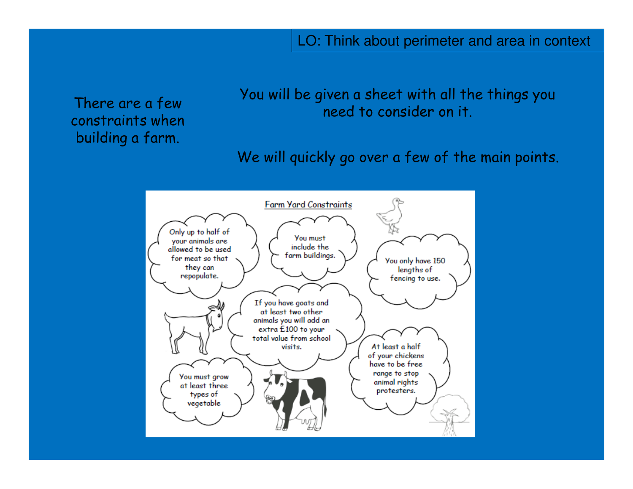There are a few constraints when building a farm.

You will be given a sheet with all the things you need to consider on it.

We will quickly go over a few of the main points.

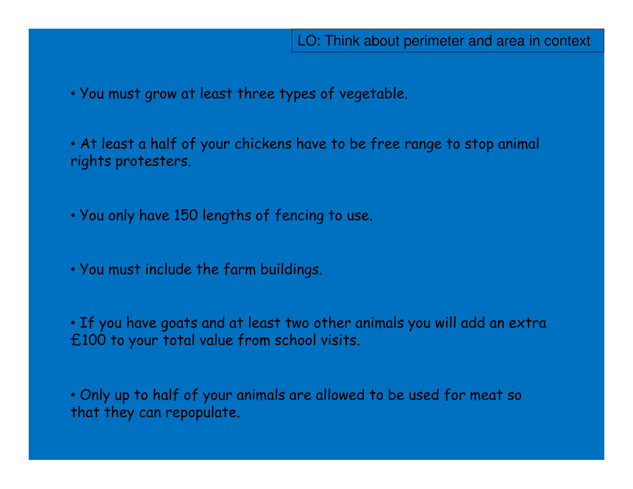• You must grow at least three types of vegetable.

• At least a half of your chickens have to be free range to stop animal rights protesters.

• You only have 150 lengths of fencing to use.

• You must include the farm buildings.

• If you have goats and at least two other animals you will add an extra £100 to your total value from school visits.

• Only up to half of your animals are allowed to be used for meat so that they can repopulate.